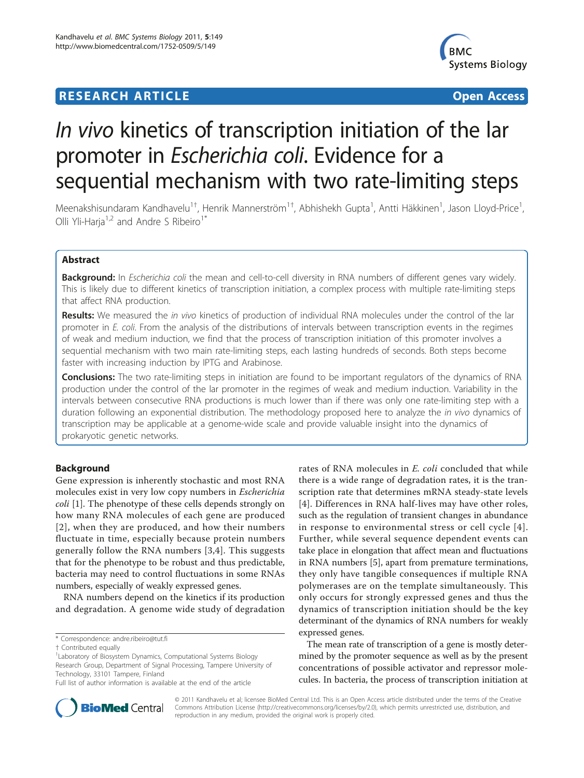## **RESEARCH ARTICLE Example 2018 12:00 Department of the Contract Open Access**



# In vivo kinetics of transcription initiation of the lar promoter in Escherichia coli. Evidence for a sequential mechanism with two rate-limiting steps

Meenakshisundaram Kandhavelu<sup>1†</sup>, Henrik Mannerström<sup>1†</sup>, Abhishekh Gupta<sup>1</sup>, Antti Häkkinen<sup>1</sup>, Jason Lloyd-Price<sup>1</sup> , Olli Yli-Harja<sup>1,2</sup> and Andre S Ribeiro<sup>1\*</sup>

## Abstract

Background: In Escherichia coli the mean and cell-to-cell diversity in RNA numbers of different genes vary widely. This is likely due to different kinetics of transcription initiation, a complex process with multiple rate-limiting steps that affect RNA production.

Results: We measured the in vivo kinetics of production of individual RNA molecules under the control of the lar promoter in E. coli. From the analysis of the distributions of intervals between transcription events in the regimes of weak and medium induction, we find that the process of transcription initiation of this promoter involves a sequential mechanism with two main rate-limiting steps, each lasting hundreds of seconds. Both steps become faster with increasing induction by IPTG and Arabinose.

**Conclusions:** The two rate-limiting steps in initiation are found to be important regulators of the dynamics of RNA production under the control of the lar promoter in the regimes of weak and medium induction. Variability in the intervals between consecutive RNA productions is much lower than if there was only one rate-limiting step with a duration following an exponential distribution. The methodology proposed here to analyze the in vivo dynamics of transcription may be applicable at a genome-wide scale and provide valuable insight into the dynamics of prokaryotic genetic networks.

## Background

Gene expression is inherently stochastic and most RNA molecules exist in very low copy numbers in Escherichia coli [[1\]](#page-7-0). The phenotype of these cells depends strongly on how many RNA molecules of each gene are produced [[2\]](#page-7-0), when they are produced, and how their numbers fluctuate in time, especially because protein numbers generally follow the RNA numbers [[3,4\]](#page-7-0). This suggests that for the phenotype to be robust and thus predictable, bacteria may need to control fluctuations in some RNAs numbers, especially of weakly expressed genes.

RNA numbers depend on the kinetics if its production and degradation. A genome wide study of degradation

rates of RNA molecules in E. coli concluded that while there is a wide range of degradation rates, it is the transcription rate that determines mRNA steady-state levels [[4](#page-7-0)]. Differences in RNA half-lives may have other roles, such as the regulation of transient changes in abundance in response to environmental stress or cell cycle [[4\]](#page-7-0). Further, while several sequence dependent events can take place in elongation that affect mean and fluctuations in RNA numbers [\[5](#page-7-0)], apart from premature terminations, they only have tangible consequences if multiple RNA polymerases are on the template simultaneously. This only occurs for strongly expressed genes and thus the dynamics of transcription initiation should be the key determinant of the dynamics of RNA numbers for weakly expressed genes.

The mean rate of transcription of a gene is mostly determined by the promoter sequence as well as by the present concentrations of possible activator and repressor molecules. In bacteria, the process of transcription initiation at



© 2011 Kandhavelu et al; licensee BioMed Central Ltd. This is an Open Access article distributed under the terms of the Creative Commons Attribution License [\(http://creativecommons.org/licenses/by/2.0](http://creativecommons.org/licenses/by/2.0)), which permits unrestricted use, distribution, and reproduction in any medium, provided the original work is properly cited.

<sup>\*</sup> Correspondence: [andre.ribeiro@tut.fi](mailto:andre.ribeiro@tut.fi)

<sup>†</sup> Contributed equally <sup>1</sup>

<sup>&</sup>lt;sup>1</sup> Laboratory of Biosystem Dynamics, Computational Systems Biology Research Group, Department of Signal Processing, Tampere University of Technology, 33101 Tampere, Finland

Full list of author information is available at the end of the article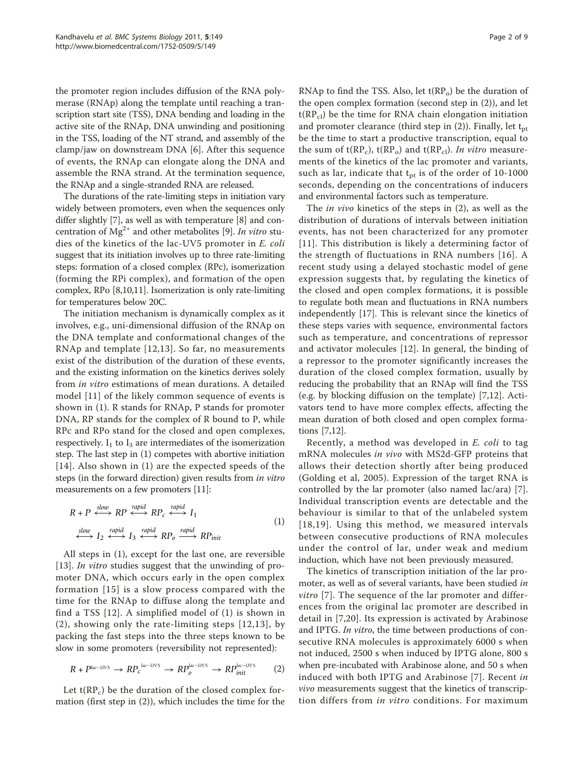the promoter region includes diffusion of the RNA polymerase (RNAp) along the template until reaching a transcription start site (TSS), DNA bending and loading in the active site of the RNAp, DNA unwinding and positioning in the TSS, loading of the NT strand, and assembly of the clamp/jaw on downstream DNA [\[6](#page-7-0)]. After this sequence of events, the RNAp can elongate along the DNA and assemble the RNA strand. At the termination sequence, the RNAp and a single-stranded RNA are released.

The durations of the rate-limiting steps in initiation vary widely between promoters, even when the sequences only differ slightly [\[7\]](#page-7-0), as well as with temperature [[8\]](#page-7-0) and concentration of  $Mg^{2+}$  and other metabolites [[9](#page-7-0)]. In vitro studies of the kinetics of the lac-UV5 promoter in E. coli suggest that its initiation involves up to three rate-limiting steps: formation of a closed complex (RPc), isomerization (forming the RPi complex), and formation of the open complex, RPo [[8,10](#page-7-0),[11](#page-7-0)]. Isomerization is only rate-limiting for temperatures below 20C.

The initiation mechanism is dynamically complex as it involves, e.g., uni-dimensional diffusion of the RNAp on the DNA template and conformational changes of the RNAp and template [[12,13](#page-7-0)]. So far, no measurements exist of the distribution of the duration of these events, and the existing information on the kinetics derives solely from in vitro estimations of mean durations. A detailed model [[11\]](#page-7-0) of the likely common sequence of events is shown in (1). R stands for RNAp, P stands for promoter DNA, RP stands for the complex of R bound to P, while RPc and RPo stand for the closed and open complexes, respectively.  $I_1$  to  $I_3$  are intermediates of the isomerization step. The last step in (1) competes with abortive initiation [[14](#page-7-0)]. Also shown in (1) are the expected speeds of the steps (in the forward direction) given results from in vitro measurements on a few promoters [[11](#page-7-0)]:

$$
R + P \xleftrightarrow{\text{slow}} RP \xleftrightarrow{\text{rapid}} RP_c \xleftrightarrow{\text{right}} I_1
$$
  
\n
$$
\xleftrightarrow{\text{slow}} I_2 \xleftrightarrow{\text{rapid}} I_3 \xleftrightarrow{\text{appid}} RP_o \xrightarrow{\text{rapid}} RP_{init}
$$
 (1)

All steps in (1), except for the last one, are reversible [[13\]](#page-7-0). In vitro studies suggest that the unwinding of promoter DNA, which occurs early in the open complex formation [[15\]](#page-8-0) is a slow process compared with the time for the RNAp to diffuse along the template and find a TSS [[12](#page-7-0)]. A simplified model of (1) is shown in (2), showing only the rate-limiting steps [[12](#page-7-0),[13\]](#page-7-0), by packing the fast steps into the three steps known to be slow in some promoters (reversibility not represented):

$$
R + Plac-UVS \rightarrow R Pclac-UVS \rightarrow R Polac-UVS \rightarrow R Plac-UVS (2)
$$

Let  $t(RP_c)$  be the duration of the closed complex formation (first step in (2)), which includes the time for the RNAp to find the TSS. Also, let  $t(RP_0)$  be the duration of the open complex formation (second step in (2)), and let  $t(RP_{cl})$  be the time for RNA chain elongation initiation and promoter clearance (third step in  $(2)$ ). Finally, let t<sub>pt</sub> be the time to start a productive transcription, equal to the sum of  $t(RP_c)$ ,  $t(RP_o)$  and  $t(RP_c)$ . In vitro measurements of the kinetics of the lac promoter and variants, such as lar, indicate that  $t_{pt}$  is of the order of 10-1000 seconds, depending on the concentrations of inducers and environmental factors such as temperature.

The in vivo kinetics of the steps in (2), as well as the distribution of durations of intervals between initiation events, has not been characterized for any promoter [[11](#page-7-0)]. This distribution is likely a determining factor of the strength of fluctuations in RNA numbers [[16](#page-8-0)]. A recent study using a delayed stochastic model of gene expression suggests that, by regulating the kinetics of the closed and open complex formations, it is possible to regulate both mean and fluctuations in RNA numbers independently [\[17](#page-8-0)]. This is relevant since the kinetics of these steps varies with sequence, environmental factors such as temperature, and concentrations of repressor and activator molecules [[12\]](#page-7-0). In general, the binding of a repressor to the promoter significantly increases the duration of the closed complex formation, usually by reducing the probability that an RNAp will find the TSS (e.g. by blocking diffusion on the template) [[7,12\]](#page-7-0). Activators tend to have more complex effects, affecting the mean duration of both closed and open complex formations [\[7,12\]](#page-7-0).

Recently, a method was developed in E. coli to tag mRNA molecules in vivo with MS2d-GFP proteins that allows their detection shortly after being produced (Golding et al, 2005). Expression of the target RNA is controlled by the lar promoter (also named lac/ara) [\[7](#page-7-0)]. Individual transcription events are detectable and the behaviour is similar to that of the unlabeled system [[18](#page-8-0),[19](#page-8-0)]. Using this method, we measured intervals between consecutive productions of RNA molecules under the control of lar, under weak and medium induction, which have not been previously measured.

The kinetics of transcription initiation of the lar promoter, as well as of several variants, have been studied in *vitro* [[7](#page-7-0)]. The sequence of the lar promoter and differences from the original lac promoter are described in detail in [\[7,](#page-7-0)[20](#page-8-0)]. Its expression is activated by Arabinose and IPTG. In vitro, the time between productions of consecutive RNA molecules is approximately 6000 s when not induced, 2500 s when induced by IPTG alone, 800 s when pre-incubated with Arabinose alone, and 50 s when induced with both IPTG and Arabinose [\[7\]](#page-7-0). Recent in vivo measurements suggest that the kinetics of transcription differs from in vitro conditions. For maximum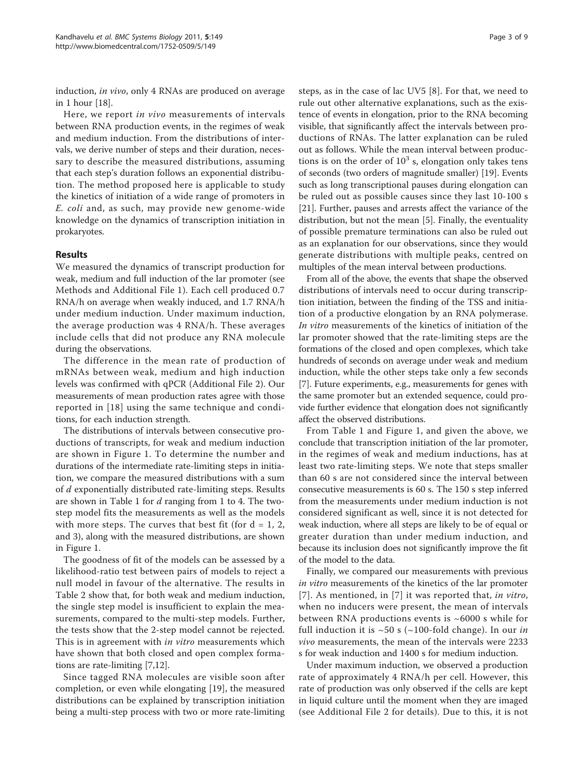induction, in vivo, only 4 RNAs are produced on average in 1 hour [\[18\]](#page-8-0).

Here, we report in vivo measurements of intervals between RNA production events, in the regimes of weak and medium induction. From the distributions of intervals, we derive number of steps and their duration, necessary to describe the measured distributions, assuming that each step's duration follows an exponential distribution. The method proposed here is applicable to study the kinetics of initiation of a wide range of promoters in E. coli and, as such, may provide new genome-wide knowledge on the dynamics of transcription initiation in prokaryotes.

#### Results

We measured the dynamics of transcript production for weak, medium and full induction of the lar promoter (see Methods and Additional File [1](#page-7-0)). Each cell produced 0.7 RNA/h on average when weakly induced, and 1.7 RNA/h under medium induction. Under maximum induction, the average production was 4 RNA/h. These averages include cells that did not produce any RNA molecule during the observations.

The difference in the mean rate of production of mRNAs between weak, medium and high induction levels was confirmed with qPCR (Additional File [2](#page-7-0)). Our measurements of mean production rates agree with those reported in [[18\]](#page-8-0) using the same technique and conditions, for each induction strength.

The distributions of intervals between consecutive productions of transcripts, for weak and medium induction are shown in Figure [1](#page-3-0). To determine the number and durations of the intermediate rate-limiting steps in initiation, we compare the measured distributions with a sum of d exponentially distributed rate-limiting steps. Results are shown in Table [1](#page-3-0) for d ranging from 1 to 4. The twostep model fits the measurements as well as the models with more steps. The curves that best fit (for  $d = 1, 2$ , and 3), along with the measured distributions, are shown in Figure [1.](#page-3-0)

The goodness of fit of the models can be assessed by a likelihood-ratio test between pairs of models to reject a null model in favour of the alternative. The results in Table [2](#page-4-0) show that, for both weak and medium induction, the single step model is insufficient to explain the measurements, compared to the multi-step models. Further, the tests show that the 2-step model cannot be rejected. This is in agreement with *in vitro* measurements which have shown that both closed and open complex formations are rate-limiting [\[7,12\]](#page-7-0).

Since tagged RNA molecules are visible soon after completion, or even while elongating [\[19](#page-8-0)], the measured distributions can be explained by transcription initiation being a multi-step process with two or more rate-limiting steps, as in the case of lac UV5 [[8\]](#page-7-0). For that, we need to rule out other alternative explanations, such as the existence of events in elongation, prior to the RNA becoming visible, that significantly affect the intervals between productions of RNAs. The latter explanation can be ruled out as follows. While the mean interval between productions is on the order of  $10^3$  s, elongation only takes tens of seconds (two orders of magnitude smaller) [\[19\]](#page-8-0). Events such as long transcriptional pauses during elongation can be ruled out as possible causes since they last 10-100 s [[21\]](#page-8-0). Further, pauses and arrests affect the variance of the distribution, but not the mean [[5\]](#page-7-0). Finally, the eventuality of possible premature terminations can also be ruled out as an explanation for our observations, since they would generate distributions with multiple peaks, centred on multiples of the mean interval between productions.

From all of the above, the events that shape the observed distributions of intervals need to occur during transcription initiation, between the finding of the TSS and initiation of a productive elongation by an RNA polymerase. In vitro measurements of the kinetics of initiation of the lar promoter showed that the rate-limiting steps are the formations of the closed and open complexes, which take hundreds of seconds on average under weak and medium induction, while the other steps take only a few seconds [[7\]](#page-7-0). Future experiments, e.g., measurements for genes with the same promoter but an extended sequence, could provide further evidence that elongation does not significantly affect the observed distributions.

From Table [1](#page-3-0) and Figure [1](#page-3-0), and given the above, we conclude that transcription initiation of the lar promoter, in the regimes of weak and medium inductions, has at least two rate-limiting steps. We note that steps smaller than 60 s are not considered since the interval between consecutive measurements is 60 s. The 150 s step inferred from the measurements under medium induction is not considered significant as well, since it is not detected for weak induction, where all steps are likely to be of equal or greater duration than under medium induction, and because its inclusion does not significantly improve the fit of the model to the data.

Finally, we compared our measurements with previous in vitro measurements of the kinetics of the lar promoter [[7](#page-7-0)]. As mentioned, in [[7\]](#page-7-0) it was reported that, in vitro, when no inducers were present, the mean of intervals between RNA productions events is  $~6000$  s while for full induction it is  $\sim$  50 s ( $\sim$  100-fold change). In our *in* vivo measurements, the mean of the intervals were 2233 s for weak induction and 1400 s for medium induction.

Under maximum induction, we observed a production rate of approximately 4 RNA/h per cell. However, this rate of production was only observed if the cells are kept in liquid culture until the moment when they are imaged (see Additional File [2](#page-7-0) for details). Due to this, it is not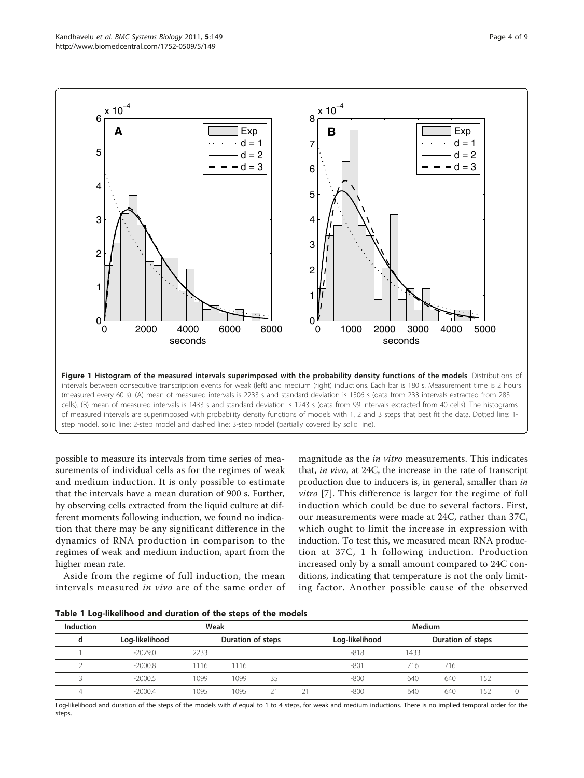<span id="page-3-0"></span>

possible to measure its intervals from time series of measurements of individual cells as for the regimes of weak and medium induction. It is only possible to estimate that the intervals have a mean duration of 900 s. Further, by observing cells extracted from the liquid culture at different moments following induction, we found no indication that there may be any significant difference in the dynamics of RNA production in comparison to the regimes of weak and medium induction, apart from the higher mean rate.

Aside from the regime of full induction, the mean intervals measured in vivo are of the same order of

magnitude as the in vitro measurements. This indicates that, in vivo, at 24C, the increase in the rate of transcript production due to inducers is, in general, smaller than in vitro [[7\]](#page-7-0). This difference is larger for the regime of full induction which could be due to several factors. First, our measurements were made at 24C, rather than 37C, which ought to limit the increase in expression with induction. To test this, we measured mean RNA production at 37C, 1 h following induction. Production increased only by a small amount compared to 24C conditions, indicating that temperature is not the only limiting factor. Another possible cause of the observed

|  | Table 1 Log-likelihood and duration of the steps of the models |  |  |  |  |  |  |  |  |
|--|----------------------------------------------------------------|--|--|--|--|--|--|--|--|
|--|----------------------------------------------------------------|--|--|--|--|--|--|--|--|

| Induction | Weak           |      |                   |    |    | Medium         |      |                   |     |  |  |
|-----------|----------------|------|-------------------|----|----|----------------|------|-------------------|-----|--|--|
| d         | Log-likelihood |      | Duration of steps |    |    | Log-likelihood |      | Duration of steps |     |  |  |
|           | $-2029.0$      | 2233 |                   |    |    | $-818$         | 1433 |                   |     |  |  |
|           | $-2000.8$      | 1116 | 116               |    |    | $-801$         | 716  | 716               |     |  |  |
|           | $-2000.5$      | 1099 | 1099              | 35 |    | -800           | 640  | 640               | 152 |  |  |
|           | $-2000.4$      | 1095 | 1095              | 21 | 21 | $-800$         | 640  | 640               | 152 |  |  |

Log-likelihood and duration of the steps of the models with d equal to 1 to 4 steps, for weak and medium inductions. There is no implied temporal order for the steps.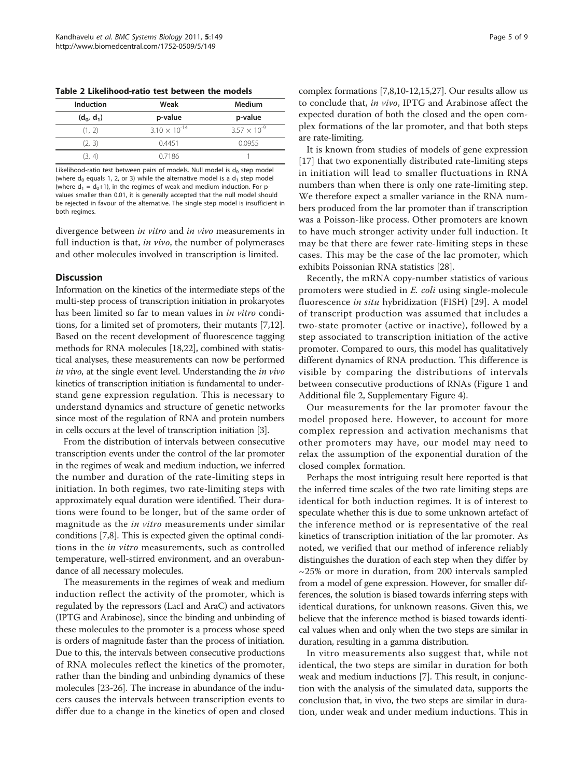<span id="page-4-0"></span>Table 2 Likelihood-ratio test between the models

| Induction    | Weak                   | <b>Medium</b>         |  |  |  |
|--------------|------------------------|-----------------------|--|--|--|
| $(d_0, d_1)$ | p-value                | p-value               |  |  |  |
| (1, 2)       | $3.10 \times 10^{-14}$ | $3.57 \times 10^{-9}$ |  |  |  |
| (2, 3)       | 04451                  | 0.0955                |  |  |  |
| (3, 4)       | 0.7186                 |                       |  |  |  |

Likelihood-ratio test between pairs of models. Null model is  $d_0$  step model (where  $d_0$  equals 1, 2, or 3) while the alternative model is a  $d_1$  step model (where  $d_1 = d_0+1$ ), in the regimes of weak and medium induction. For pvalues smaller than 0.01, it is generally accepted that the null model should be rejected in favour of the alternative. The single step model is insufficient in both regimes.

divergence between in vitro and in vivo measurements in full induction is that, *in vivo*, the number of polymerases and other molecules involved in transcription is limited.

#### **Discussion**

Information on the kinetics of the intermediate steps of the multi-step process of transcription initiation in prokaryotes has been limited so far to mean values in in vitro conditions, for a limited set of promoters, their mutants [\[7,12](#page-7-0)]. Based on the recent development of fluorescence tagging methods for RNA molecules [[18,22\]](#page-8-0), combined with statistical analyses, these measurements can now be performed in vivo, at the single event level. Understanding the in vivo kinetics of transcription initiation is fundamental to understand gene expression regulation. This is necessary to understand dynamics and structure of genetic networks since most of the regulation of RNA and protein numbers in cells occurs at the level of transcription initiation [\[3\]](#page-7-0).

From the distribution of intervals between consecutive transcription events under the control of the lar promoter in the regimes of weak and medium induction, we inferred the number and duration of the rate-limiting steps in initiation. In both regimes, two rate-limiting steps with approximately equal duration were identified. Their durations were found to be longer, but of the same order of magnitude as the in vitro measurements under similar conditions [\[7,8](#page-7-0)]. This is expected given the optimal conditions in the in vitro measurements, such as controlled temperature, well-stirred environment, and an overabundance of all necessary molecules.

The measurements in the regimes of weak and medium induction reflect the activity of the promoter, which is regulated by the repressors (LacI and AraC) and activators (IPTG and Arabinose), since the binding and unbinding of these molecules to the promoter is a process whose speed is orders of magnitude faster than the process of initiation. Due to this, the intervals between consecutive productions of RNA molecules reflect the kinetics of the promoter, rather than the binding and unbinding dynamics of these molecules [\[23-26\]](#page-8-0). The increase in abundance of the inducers causes the intervals between transcription events to differ due to a change in the kinetics of open and closed

complex formations [\[7,8,10-12,](#page-7-0)[15](#page-8-0),[27](#page-8-0)]. Our results allow us to conclude that, in vivo, IPTG and Arabinose affect the expected duration of both the closed and the open complex formations of the lar promoter, and that both steps are rate-limiting.

It is known from studies of models of gene expression [[17\]](#page-8-0) that two exponentially distributed rate-limiting steps in initiation will lead to smaller fluctuations in RNA numbers than when there is only one rate-limiting step. We therefore expect a smaller variance in the RNA numbers produced from the lar promoter than if transcription was a Poisson-like process. Other promoters are known to have much stronger activity under full induction. It may be that there are fewer rate-limiting steps in these cases. This may be the case of the lac promoter, which exhibits Poissonian RNA statistics [[28](#page-8-0)].

Recently, the mRNA copy-number statistics of various promoters were studied in E. coli using single-molecule fluorescence in situ hybridization (FISH) [[29\]](#page-8-0). A model of transcript production was assumed that includes a two-state promoter (active or inactive), followed by a step associated to transcription initiation of the active promoter. Compared to ours, this model has qualitatively different dynamics of RNA production. This difference is visible by comparing the distributions of intervals between consecutive productions of RNAs (Figure [1](#page-3-0) and Additional file [2](#page-7-0), Supplementary Figure 4).

Our measurements for the lar promoter favour the model proposed here. However, to account for more complex repression and activation mechanisms that other promoters may have, our model may need to relax the assumption of the exponential duration of the closed complex formation.

Perhaps the most intriguing result here reported is that the inferred time scales of the two rate limiting steps are identical for both induction regimes. It is of interest to speculate whether this is due to some unknown artefact of the inference method or is representative of the real kinetics of transcription initiation of the lar promoter. As noted, we verified that our method of inference reliably distinguishes the duration of each step when they differ by  $\sim$ 25% or more in duration, from 200 intervals sampled from a model of gene expression. However, for smaller differences, the solution is biased towards inferring steps with identical durations, for unknown reasons. Given this, we believe that the inference method is biased towards identical values when and only when the two steps are similar in duration, resulting in a gamma distribution.

In vitro measurements also suggest that, while not identical, the two steps are similar in duration for both weak and medium inductions [[7](#page-7-0)]. This result, in conjunction with the analysis of the simulated data, supports the conclusion that, in vivo, the two steps are similar in duration, under weak and under medium inductions. This in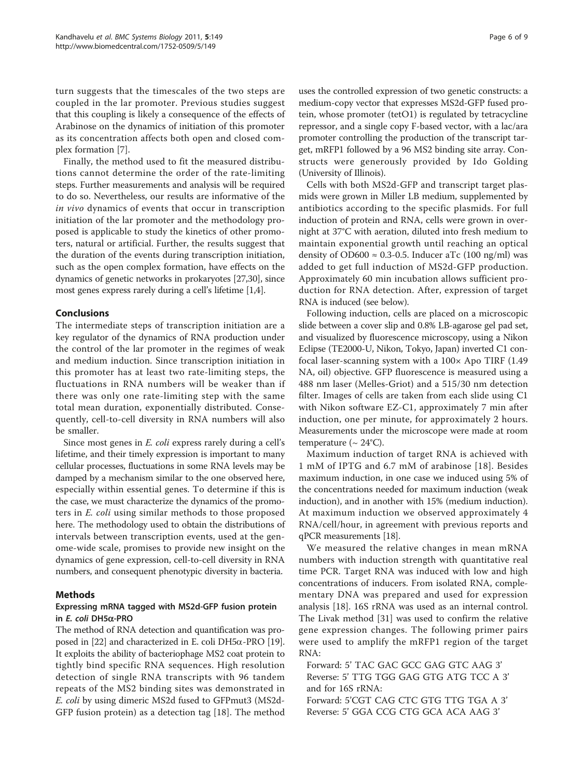turn suggests that the timescales of the two steps are coupled in the lar promoter. Previous studies suggest that this coupling is likely a consequence of the effects of Arabinose on the dynamics of initiation of this promoter as its concentration affects both open and closed complex formation [\[7](#page-7-0)].

Finally, the method used to fit the measured distributions cannot determine the order of the rate-limiting steps. Further measurements and analysis will be required to do so. Nevertheless, our results are informative of the in vivo dynamics of events that occur in transcription initiation of the lar promoter and the methodology proposed is applicable to study the kinetics of other promoters, natural or artificial. Further, the results suggest that the duration of the events during transcription initiation, such as the open complex formation, have effects on the dynamics of genetic networks in prokaryotes [\[27,30](#page-8-0)], since most genes express rarely during a cell's lifetime [\[1,4\]](#page-7-0).

## Conclusions

The intermediate steps of transcription initiation are a key regulator of the dynamics of RNA production under the control of the lar promoter in the regimes of weak and medium induction. Since transcription initiation in this promoter has at least two rate-limiting steps, the fluctuations in RNA numbers will be weaker than if there was only one rate-limiting step with the same total mean duration, exponentially distributed. Consequently, cell-to-cell diversity in RNA numbers will also be smaller.

Since most genes in E. coli express rarely during a cell's lifetime, and their timely expression is important to many cellular processes, fluctuations in some RNA levels may be damped by a mechanism similar to the one observed here, especially within essential genes. To determine if this is the case, we must characterize the dynamics of the promoters in E. coli using similar methods to those proposed here. The methodology used to obtain the distributions of intervals between transcription events, used at the genome-wide scale, promises to provide new insight on the dynamics of gene expression, cell-to-cell diversity in RNA numbers, and consequent phenotypic diversity in bacteria.

## Methods

## Expressing mRNA tagged with MS2d-GFP fusion protein in E. coli DH5a-PRO

The method of RNA detection and quantification was pro-posed in [\[22\]](#page-8-0) and characterized in E. coli  $DH5\alpha$ -PRO [[19](#page-8-0)]. It exploits the ability of bacteriophage MS2 coat protein to tightly bind specific RNA sequences. High resolution detection of single RNA transcripts with 96 tandem repeats of the MS2 binding sites was demonstrated in E. coli by using dimeric MS2d fused to GFPmut3 (MS2d-GFP fusion protein) as a detection tag [[18](#page-8-0)]. The method

uses the controlled expression of two genetic constructs: a medium-copy vector that expresses MS2d-GFP fused protein, whose promoter (tetO1) is regulated by tetracycline repressor, and a single copy F-based vector, with a lac/ara promoter controlling the production of the transcript target, mRFP1 followed by a 96 MS2 binding site array. Constructs were generously provided by Ido Golding (University of Illinois).

Cells with both MS2d-GFP and transcript target plasmids were grown in Miller LB medium, supplemented by antibiotics according to the specific plasmids. For full induction of protein and RNA, cells were grown in overnight at 37°C with aeration, diluted into fresh medium to maintain exponential growth until reaching an optical density of OD600  $\approx$  0.3-0.5. Inducer aTc (100 ng/ml) was added to get full induction of MS2d-GFP production. Approximately 60 min incubation allows sufficient production for RNA detection. After, expression of target RNA is induced (see below).

Following induction, cells are placed on a microscopic slide between a cover slip and 0.8% LB-agarose gel pad set, and visualized by fluorescence microscopy, using a Nikon Eclipse (TE2000-U, Nikon, Tokyo, Japan) inverted C1 confocal laser-scanning system with a 100× Apo TIRF (1.49 NA, oil) objective. GFP fluorescence is measured using a 488 nm laser (Melles-Griot) and a 515/30 nm detection filter. Images of cells are taken from each slide using C1 with Nikon software EZ-C1, approximately 7 min after induction, one per minute, for approximately 2 hours. Measurements under the microscope were made at room temperature ( $\sim 24$ °C).

Maximum induction of target RNA is achieved with 1 mM of IPTG and 6.7 mM of arabinose [[18](#page-8-0)]. Besides maximum induction, in one case we induced using 5% of the concentrations needed for maximum induction (weak induction), and in another with 15% (medium induction). At maximum induction we observed approximately 4 RNA/cell/hour, in agreement with previous reports and qPCR measurements [[18](#page-8-0)].

We measured the relative changes in mean mRNA numbers with induction strength with quantitative real time PCR. Target RNA was induced with low and high concentrations of inducers. From isolated RNA, complementary DNA was prepared and used for expression analysis [[18](#page-8-0)]. 16S rRNA was used as an internal control. The Livak method [[31\]](#page-8-0) was used to confirm the relative gene expression changes. The following primer pairs were used to amplify the mRFP1 region of the target RNA:

Forward: 5' TAC GAC GCC GAG GTC AAG 3' Reverse: 5' TTG TGG GAG GTG ATG TCC A 3' and for 16S rRNA:

Forward: 5'CGT CAG CTC GTG TTG TGA A 3' Reverse: 5' GGA CCG CTG GCA ACA AAG 3'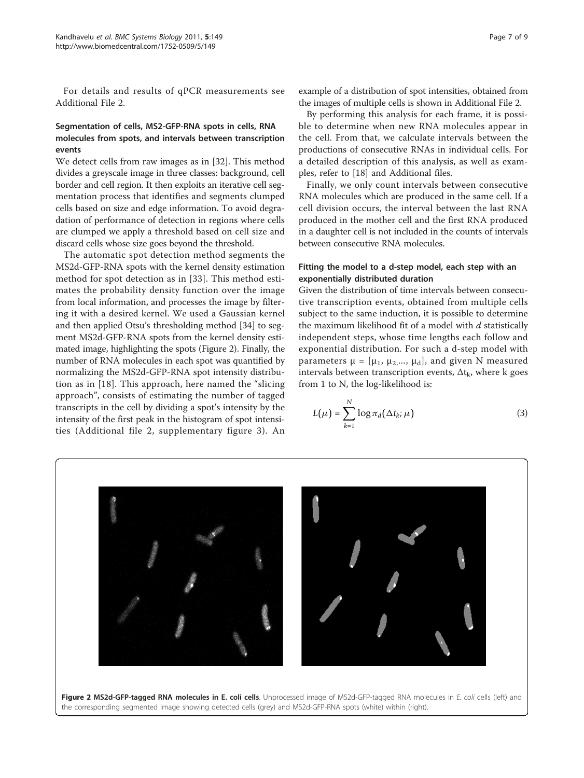For details and results of qPCR measurements see Additional File [2.](#page-7-0)

## Segmentation of cells, MS2-GFP-RNA spots in cells, RNA molecules from spots, and intervals between transcription events

We detect cells from raw images as in [[32\]](#page-8-0). This method divides a greyscale image in three classes: background, cell border and cell region. It then exploits an iterative cell segmentation process that identifies and segments clumped cells based on size and edge information. To avoid degradation of performance of detection in regions where cells are clumped we apply a threshold based on cell size and discard cells whose size goes beyond the threshold.

The automatic spot detection method segments the MS2d-GFP-RNA spots with the kernel density estimation method for spot detection as in [\[33\]](#page-8-0). This method estimates the probability density function over the image from local information, and processes the image by filtering it with a desired kernel. We used a Gaussian kernel and then applied Otsu's thresholding method [\[34](#page-8-0)] to segment MS2d-GFP-RNA spots from the kernel density estimated image, highlighting the spots (Figure 2). Finally, the number of RNA molecules in each spot was quantified by normalizing the MS2d-GFP-RNA spot intensity distribution as in [\[18\]](#page-8-0). This approach, here named the "slicing approach", consists of estimating the number of tagged transcripts in the cell by dividing a spot's intensity by the intensity of the first peak in the histogram of spot intensities (Additional file [2](#page-7-0), supplementary figure 3). An example of a distribution of spot intensities, obtained from the images of multiple cells is shown in Additional File [2](#page-7-0).

By performing this analysis for each frame, it is possible to determine when new RNA molecules appear in the cell. From that, we calculate intervals between the productions of consecutive RNAs in individual cells. For a detailed description of this analysis, as well as examples, refer to [[18\]](#page-8-0) and Additional files.

Finally, we only count intervals between consecutive RNA molecules which are produced in the same cell. If a cell division occurs, the interval between the last RNA produced in the mother cell and the first RNA produced in a daughter cell is not included in the counts of intervals between consecutive RNA molecules.

#### Fitting the model to a d-step model, each step with an exponentially distributed duration

Given the distribution of time intervals between consecutive transcription events, obtained from multiple cells subject to the same induction, it is possible to determine the maximum likelihood fit of a model with  $d$  statistically independent steps, whose time lengths each follow and exponential distribution. For such a d-step model with parameters  $\mu = [\mu_1, \mu_2, ..., \mu_d]$ , and given N measured intervals between transcription events,  $\Delta t_{k}$ , where k goes from 1 to N, the log-likelihood is:

$$
L(\mu) = \sum_{k=1}^{N} \log \pi_d(\Delta t_k; \mu)
$$
 (3)

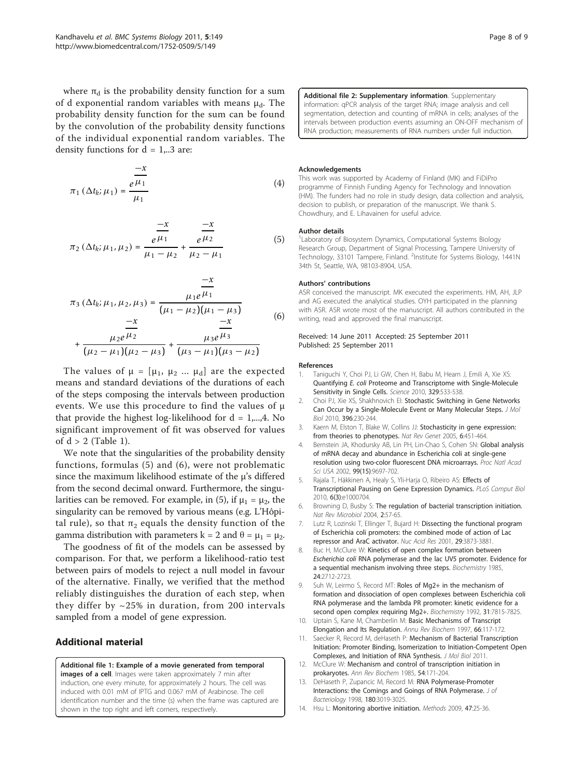<span id="page-7-0"></span>where  $\pi_d$  is the probability density function for a sum of d exponential random variables with means  $\mu_d$ . The probability density function for the sum can be found by the convolution of the probability density functions of the individual exponential random variables. The density functions for  $d = 1, . .3$  are:

$$
\pi_1\left(\Delta t_k; \mu_1\right) = \frac{e^{\frac{-x}{\mu_1}}}{\mu_1} \tag{4}
$$

$$
\pi_2 (\Delta t_k; \mu_1, \mu_2) = \frac{\frac{-x}{e^{\mu_1}}}{\mu_1 - \mu_2} + \frac{\frac{-x}{e^{\mu_2}}}{\mu_2 - \mu_1}
$$
(5)

$$
\pi_3 (\Delta t_k; \mu_1, \mu_2, \mu_3) = \frac{\frac{-x}{\mu_1 e^{\mu_1}}}{(\mu_1 - \mu_2)(\mu_1 - \mu_3)}
$$
\n
$$
\frac{-x}{\mu_2 e^{\mu_2}} = \frac{-x}{\mu_3 e^{\mu_3}}
$$
\n(6)

$$
+\frac{\mu_2 e^{\mu_2}}{(\mu_2-\mu_1)(\mu_2-\mu_3)}+\frac{\mu_3 e^{\mu_3}}{(\mu_3-\mu_1)(\mu_3-\mu_2)}
$$

The values of  $\mu = [\mu_1, \mu_2, \dots, \mu_d]$  are the expected means and standard deviations of the durations of each of the steps composing the intervals between production events. We use this procedure to find the values of μ that provide the highest log-likelihood for  $d = 1, \ldots, 4$ . No significant improvement of fit was observed for values of  $d > 2$  (Table [1](#page-3-0)).

We note that the singularities of the probability density functions, formulas (5) and (6), were not problematic since the maximum likelihood estimate of the μ's differed from the second decimal onward. Furthermore, the singularities can be removed. For example, in (5), if  $\mu_1 = \mu_2$ , the singularity can be removed by various means (e.g. L'Hôpital rule), so that  $\pi_2$  equals the density function of the gamma distribution with parameters  $k = 2$  and  $θ = μ_1 = μ_2$ .

The goodness of fit of the models can be assessed by comparison. For that, we perform a likelihood-ratio test between pairs of models to reject a null model in favour of the alternative. Finally, we verified that the method reliably distinguishes the duration of each step, when they differ by  $\sim$ 25% in duration, from 200 intervals sampled from a model of gene expression.

#### Additional material

[Additional file 1: E](http://www.biomedcentral.com/content/supplementary/1752-0509-5-149-S1.MPEG)xample of a movie generated from temporal images of a cell. Images were taken approximately 7 min after induction, one every minute, for approximately 2 hours. The cell was induced with 0.01 mM of IPTG and 0.067 mM of Arabinose. The cell identification number and the time (s) when the frame was captured are shown in the top right and left corners, respectively.

[Additional file 2: S](http://www.biomedcentral.com/content/supplementary/1752-0509-5-149-S2.PDF)upplementary information. Supplementary information: qPCR analysis of the target RNA; image analysis and cell segmentation, detection and counting of mRNA in cells; analyses of the intervals between production events assuming an ON-OFF mechanism of RNA production; measurements of RNA numbers under full induction.

#### Acknowledgements

This work was supported by Academy of Finland (MK) and FiDiPro programme of Finnish Funding Agency for Technology and Innovation (HM). The funders had no role in study design, data collection and analysis, decision to publish, or preparation of the manuscript. We thank S. Chowdhury, and E. Lihavainen for useful advice.

#### Author details

<sup>1</sup> Laboratory of Biosystem Dynamics, Computational Systems Biology Research Group, Department of Signal Processing, Tampere University of Technology, 33101 Tampere, Finland. <sup>2</sup>Institute for Systems Biology, 1441N 34th St, Seattle, WA, 98103-8904, USA.

#### Authors' contributions

ASR conceived the manuscript. MK executed the experiments. HM, AH, JLP and AG executed the analytical studies. OYH participated in the planning with ASR. ASR wrote most of the manuscript. All authors contributed in the writing, read and approved the final manuscript.

#### Received: 14 June 2011 Accepted: 25 September 2011 Published: 25 September 2011

#### References

- 1. Taniguchi Y, Choi PJ, Li GW, Chen H, Babu M, Hearn J, Emili A, Xie XS: Quantifying E. coli [Proteome and Transcriptome with Single-Molecule](http://www.ncbi.nlm.nih.gov/pubmed/20671182?dopt=Abstract) [Sensitivity in Single Cells.](http://www.ncbi.nlm.nih.gov/pubmed/20671182?dopt=Abstract) Science 2010, 329:533-538.
- 2. Choi PJ, Xie XS, Shakhnovich EI: [Stochastic Switching in Gene Networks](http://www.ncbi.nlm.nih.gov/pubmed/19931280?dopt=Abstract) [Can Occur by a Single-Molecule Event or Many Molecular Steps.](http://www.ncbi.nlm.nih.gov/pubmed/19931280?dopt=Abstract) J Mol Biol 2010, 396:230-244.
- 3. Kaern M, Elston T, Blake W, Collins JJ: [Stochasticity in gene expression:](http://www.ncbi.nlm.nih.gov/pubmed/15883588?dopt=Abstract) [from theories to phenotypes.](http://www.ncbi.nlm.nih.gov/pubmed/15883588?dopt=Abstract) Nat Rev Genet 2005, 6:451-464.
- 4. Bernstein JA, Khodursky AB, Lin PH, Lin-Chao S, Cohen SN: [Global analysis](http://www.ncbi.nlm.nih.gov/pubmed/12119387?dopt=Abstract) [of mRNA decay and abundance in Escherichia coli at single-gene](http://www.ncbi.nlm.nih.gov/pubmed/12119387?dopt=Abstract) [resolution using two-color fluorescent DNA microarrays.](http://www.ncbi.nlm.nih.gov/pubmed/12119387?dopt=Abstract) Proc Natl Acad Sci USA 2002, 99(15):9697-702.
- 5. Rajala T, Häkkinen A, Healy S, Yli-Harja O, Ribeiro AS: [Effects of](http://www.ncbi.nlm.nih.gov/pubmed/20300642?dopt=Abstract) [Transcriptional Pausing on Gene Expression Dynamics.](http://www.ncbi.nlm.nih.gov/pubmed/20300642?dopt=Abstract) PLoS Comput Biol 2010, 6(3):e1000704.
- 6. Browning D, Busby S: [The regulation of bacterial transcription initiation.](http://www.ncbi.nlm.nih.gov/pubmed/15035009?dopt=Abstract) Nat Rev Microbiol 2004, 2:57-65.
- 7. Lutz R, Lozinski T, Ellinger T, Bujard H: Dissecting the functional program of Escherichia coli promoters: the combined mode of action of Lac repressor and AraC activator. Nuc Acid Res 2001, 29:3873-3881.
- 8. Buc H, McClure W: [Kinetics of open complex formation between](http://www.ncbi.nlm.nih.gov/pubmed/3896304?dopt=Abstract) Escherichia coli [RNA polymerase and the lac UV5 promoter. Evidence for](http://www.ncbi.nlm.nih.gov/pubmed/3896304?dopt=Abstract) [a sequential mechanism involving three steps.](http://www.ncbi.nlm.nih.gov/pubmed/3896304?dopt=Abstract) Biochemistry 1985, 24:2712-2723.
- 9. Suh W, Leirmo S, Record MT: [Roles of Mg2+ in the mechanism of](http://www.ncbi.nlm.nih.gov/pubmed/1387321?dopt=Abstract) [formation and dissociation of open complexes between Escherichia coli](http://www.ncbi.nlm.nih.gov/pubmed/1387321?dopt=Abstract) [RNA polymerase and the lambda PR promoter: kinetic evidence for a](http://www.ncbi.nlm.nih.gov/pubmed/1387321?dopt=Abstract) [second open complex requiring Mg2+.](http://www.ncbi.nlm.nih.gov/pubmed/1387321?dopt=Abstract) Biochemistry 1992, 31:7815-7825.
- 10. Uptain S, Kane M, Chamberlin M: [Basic Mechanisms of Transcript](http://www.ncbi.nlm.nih.gov/pubmed/9242904?dopt=Abstract) [Elongation and Its Regulation.](http://www.ncbi.nlm.nih.gov/pubmed/9242904?dopt=Abstract) Annu Rev Biochem 1997, 66:117-172.
- 11. Saecker R, Record M, deHaseth P: Mechanism of Bacterial Transcription Initiation: Promoter Binding, Isomerization to Initiation-Competent Open Complexes, and Initiation of RNA Synthesis. J Mol Biol 2011.
- 12. McClure W: [Mechanism and control of transcription initiation in](http://www.ncbi.nlm.nih.gov/pubmed/3896120?dopt=Abstract) [prokaryotes.](http://www.ncbi.nlm.nih.gov/pubmed/3896120?dopt=Abstract) Ann Rev Biochem 1985, 54:171-204.
- 13. DeHaseth P, Zupancic M, Record M: RNA Polymerase-Promoter Interactions: the Comings and Goings of RNA Polymerase. J of Bacteriology 1998, 180:3019-3025.
- 14. Hsu L: [Monitoring abortive initiation.](http://www.ncbi.nlm.nih.gov/pubmed/18948204?dopt=Abstract) Methods 2009, 47:25-36.